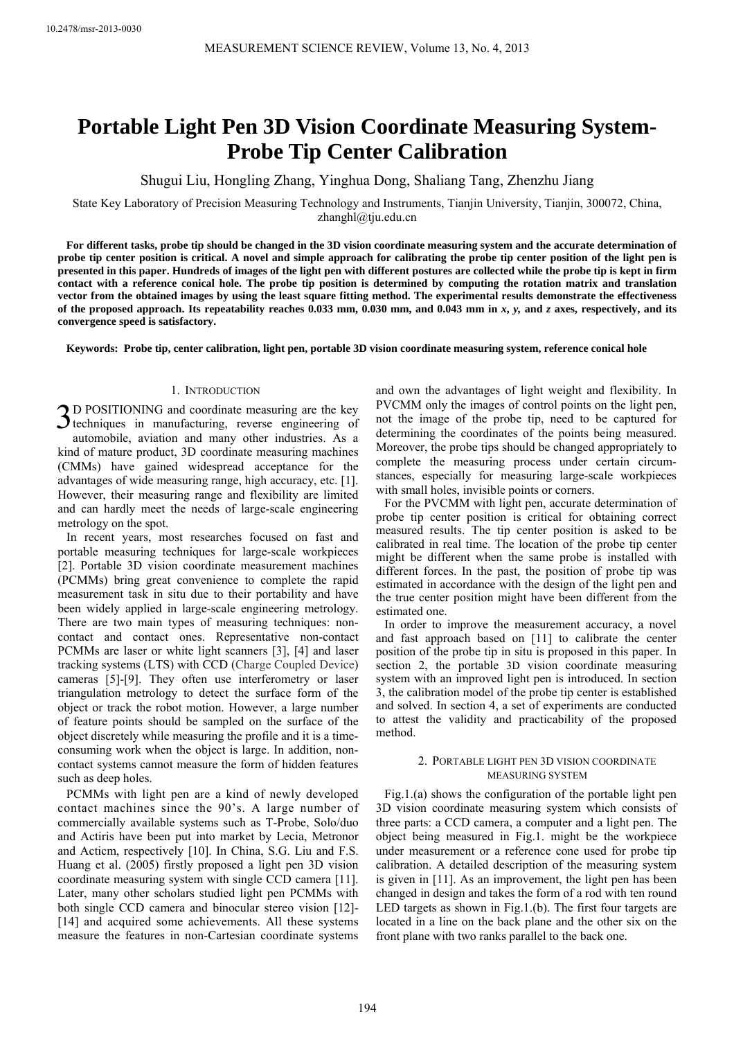# **Portable Light Pen 3D Vision Coordinate Measuring System-Probe Tip Center Calibration**

Shugui Liu, Hongling Zhang, Yinghua Dong, Shaliang Tang, Zhenzhu Jiang

State Key Laboratory of Precision Measuring Technology and Instruments, Tianjin University, Tianjin, 300072, China, zhanghl@tju.edu.cn

**For different tasks, probe tip should be changed in the 3D vision coordinate measuring system and the accurate determination of probe tip center position is critical. A novel and simple approach for calibrating the probe tip center position of the light pen is presented in this paper. Hundreds of images of the light pen with different postures are collected while the probe tip is kept in firm contact with a reference conical hole. The probe tip position is determined by computing the rotation matrix and translation vector from the obtained images by using the least square fitting method. The experimental results demonstrate the effectiveness of the proposed approach. Its repeatability reaches 0.033 mm, 0.030 mm, and 0.043 mm in** *x***,** *y,* **and** *z* **axes, respectively, and its convergence speed is satisfactory.** 

**Keywords: Probe tip, center calibration, light pen, portable 3D vision coordinate measuring system, reference conical hole** 

## 1. INTRODUCTION

3D POSITIONING and coordinate measuring are the key techniques in manufacturing, reverse engineering of  $\sum$  techniques in manufacturing, reverse engineering of automobile, aviation and many other industries. As a kind of mature product, 3D coordinate measuring machines (CMMs) have gained widespread acceptance for the advantages of wide measuring range, high accuracy, etc. [1]. However, their measuring range and flexibility are limited and can hardly meet the needs of large-scale engineering metrology on the spot.

In recent years, most researches focused on fast and portable measuring techniques for large-scale workpieces [2]. Portable 3D vision coordinate measurement machines (PCMMs) bring great convenience to complete the rapid measurement task in situ due to their portability and have been widely applied in large-scale engineering metrology. There are two main types of measuring techniques: noncontact and contact ones. Representative non-contact PCMMs are laser or white light scanners [3], [4] and laser tracking systems (LTS) with CCD (Charge Coupled Device) cameras [5]-[9]. They often use interferometry or laser triangulation metrology to detect the surface form of the object or track the robot motion. However, a large number of feature points should be sampled on the surface of the object discretely while measuring the profile and it is a timeconsuming work when the object is large. In addition, noncontact systems cannot measure the form of hidden features such as deep holes.

PCMMs with light pen are a kind of newly developed contact machines since the 90's. A large number of commercially available systems such as T-Probe, Solo/duo and Actiris have been put into market by Lecia, Metronor and Acticm, respectively [10]. In China, S.G. Liu and F.S. Huang et al. (2005) firstly proposed a light pen 3D vision coordinate measuring system with single CCD camera [11]. Later, many other scholars studied light pen PCMMs with both single CCD camera and binocular stereo vision [12]- [14] and acquired some achievements. All these systems measure the features in non-Cartesian coordinate systems

and own the advantages of light weight and flexibility. In PVCMM only the images of control points on the light pen, not the image of the probe tip, need to be captured for determining the coordinates of the points being measured. Moreover, the probe tips should be changed appropriately to complete the measuring process under certain circumstances, especially for measuring large-scale workpieces with small holes, invisible points or corners.

For the PVCMM with light pen, accurate determination of probe tip center position is critical for obtaining correct measured results. The tip center position is asked to be calibrated in real time. The location of the probe tip center might be different when the same probe is installed with different forces. In the past, the position of probe tip was estimated in accordance with the design of the light pen and the true center position might have been different from the estimated one.

In order to improve the measurement accuracy, a novel and fast approach based on [11] to calibrate the center position of the probe tip in situ is proposed in this paper. In section 2, the portable 3D vision coordinate measuring system with an improved light pen is introduced. In section 3, the calibration model of the probe tip center is established and solved. In section 4, a set of experiments are conducted to attest the validity and practicability of the proposed method.

## 2. PORTABLE LIGHT PEN 3D VISION COORDINATE MEASURING SYSTEM

Fig.1.(a) shows the configuration of the portable light pen 3D vision coordinate measuring system which consists of three parts: a CCD camera, a computer and a light pen. The object being measured in Fig.1. might be the workpiece under measurement or a reference cone used for probe tip calibration. A detailed description of the measuring system is given in [11]. As an improvement, the light pen has been changed in design and takes the form of a rod with ten round LED targets as shown in Fig.1.(b). The first four targets are located in a line on the back plane and the other six on the front plane with two ranks parallel to the back one.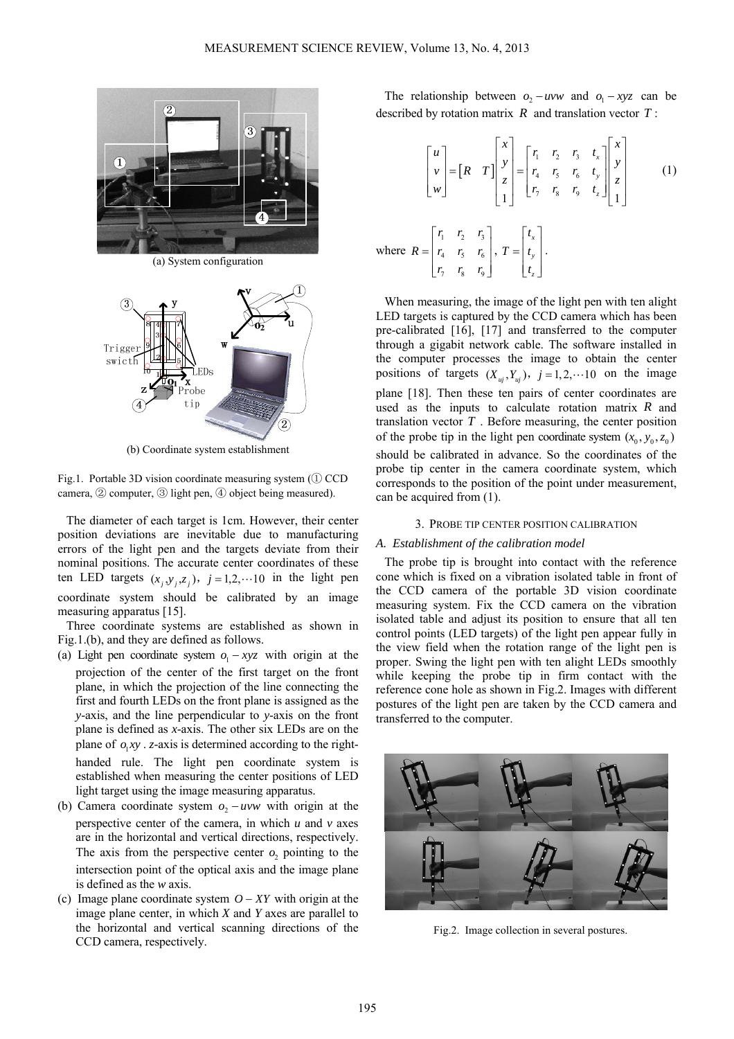

(a) System configuration



(b) Coordinate system establishment

Fig.1. Portable 3D vision coordinate measuring system (① CCD camera, ② computer, ③ light pen, ④ object being measured).

The diameter of each target is 1cm. However, their center position deviations are inevitable due to manufacturing errors of the light pen and the targets deviate from their nominal positions. The accurate center coordinates of these ten LED targets  $(x_i, y_i, z_i)$ ,  $j = 1,2,... 10$  in the light pen coordinate system should be calibrated by an image measuring apparatus [15].

Three coordinate systems are established as shown in Fig.1.(b), and they are defined as follows.

- (a) Light pen coordinate system  $o_1 xyz$  with origin at the projection of the center of the first target on the front plane, in which the projection of the line connecting the first and fourth LEDs on the front plane is assigned as the *y*-axis, and the line perpendicular to *y*-axis on the front plane is defined as *x*-axis. The other six LEDs are on the plane of  $o_1xy$ . *z*-axis is determined according to the righthanded rule. The light pen coordinate system is established when measuring the center positions of LED light target using the image measuring apparatus.
- (b) Camera coordinate system  $o_2 uvw$  with origin at the perspective center of the camera, in which *u* and *v* axes are in the horizontal and vertical directions, respectively. The axis from the perspective center  $o$ , pointing to the intersection point of the optical axis and the image plane is defined as the *w* axis.
- (c) Image plane coordinate system  $O XY$  with origin at the image plane center, in which *X* and *Y* axes are parallel to the horizontal and vertical scanning directions of the CCD camera, respectively.

The relationship between  $o_2 - uvw$  and  $o_1 - xyz$  can be described by rotation matrix *R* and translation vector *T* :

$$
\begin{bmatrix} u \\ v \\ w \end{bmatrix} = \begin{bmatrix} R & T \end{bmatrix} \begin{bmatrix} x \\ y \\ z \\ 1 \end{bmatrix} = \begin{bmatrix} r_1 & r_2 & r_3 & t_x \\ r_4 & r_5 & r_6 & t_y \\ r_7 & r_8 & r_9 & t_z \end{bmatrix} \begin{bmatrix} x \\ y \\ z \\ 1 \end{bmatrix}
$$
 (1)

where 1  $1/2$   $1/3$ 4  $\frac{1}{5}$   $\frac{1}{6}$ 7 '8 '9  $r_1$   $r_2$   $r_1$  $R = r_4 \r r_5 \r r_6$  $= \begin{bmatrix} r_1 & r_2 & r_3 \\ r_4 & r_5 & r_6 \\ r_7 & r_8 & r_9 \end{bmatrix}$ , *x y z t*  $T = |t|$ *t*  $|t_{x}|$  $=\left| \int_{-\infty}^{\infty}$  $\lfloor t_{\overline{z}} \rfloor$ .

When measuring, the image of the light pen with ten alight LED targets is captured by the CCD camera which has been pre-calibrated [16], [17] and transferred to the computer through a gigabit network cable. The software installed in the computer processes the image to obtain the center positions of targets  $(X_{ui}, Y_{ui})$ ,  $j = 1, 2, \dots 10$  on the image plane [18]. Then these ten pairs of center coordinates are used as the inputs to calculate rotation matrix *R* and translation vector *T* . Before measuring, the center position of the probe tip in the light pen coordinate system  $(x_0, y_0, z_0)$ should be calibrated in advance. So the coordinates of the probe tip center in the camera coordinate system, which corresponds to the position of the point under measurement, can be acquired from (1).

## 3. PROBE TIP CENTER POSITION CALIBRATION

#### *A. Establishment of the calibration model*

The probe tip is brought into contact with the reference cone which is fixed on a vibration isolated table in front of the CCD camera of the portable 3D vision coordinate measuring system. Fix the CCD camera on the vibration isolated table and adjust its position to ensure that all ten control points (LED targets) of the light pen appear fully in the view field when the rotation range of the light pen is proper. Swing the light pen with ten alight LEDs smoothly while keeping the probe tip in firm contact with the reference cone hole as shown in Fig.2. Images with different postures of the light pen are taken by the CCD camera and transferred to the computer.



Fig.2. Image collection in several postures.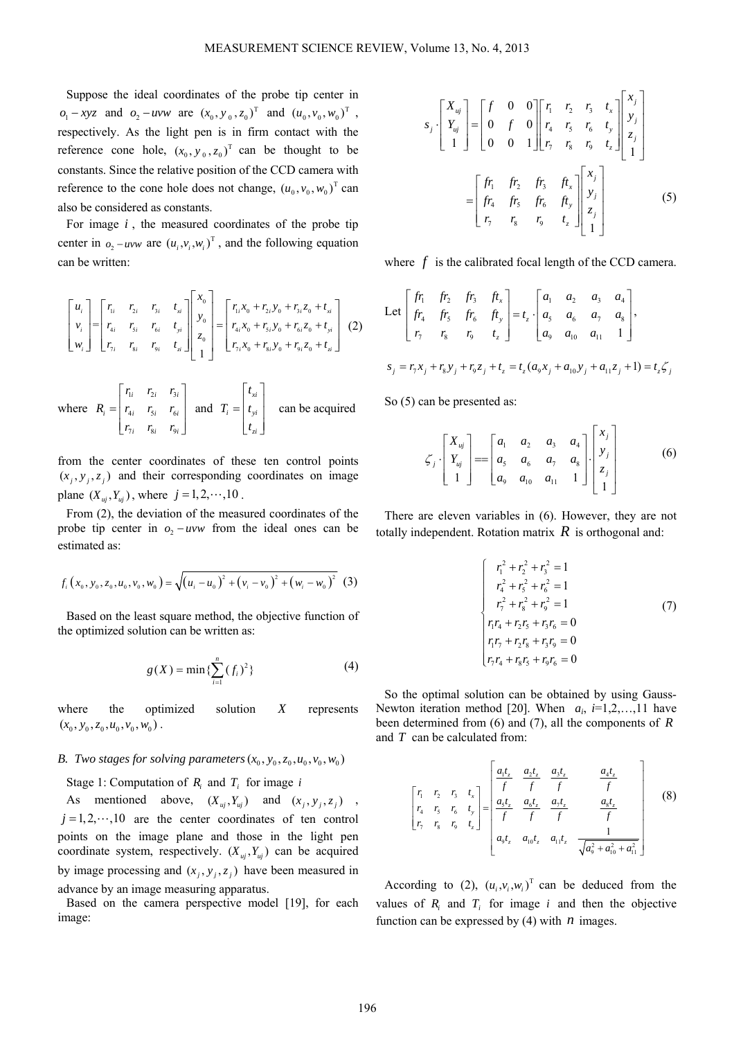Suppose the ideal coordinates of the probe tip center in  $o_1 - xyz$  and  $o_2 - uvw$  are  $(x_0, y_0, z_0)^T$  and  $(u_0, v_0, w_0)^T$ , respectively. As the light pen is in firm contact with the reference cone hole,  $(x_0, y_0, z_0)$ <sup>T</sup> can be thought to be constants. Since the relative position of the CCD camera with reference to the cone hole does not change,  $(u_0, v_0, w_0)^\text{T}$  can also be considered as constants.

For image *i* , the measured coordinates of the probe tip center in  $o_2 - uvw$  are  $(u_i, v_i, w_i)^T$ , and the following equation can be written:

$$
\begin{bmatrix} u_i \\ v_i \\ w_i \end{bmatrix} = \begin{bmatrix} r_{1i} & r_{2i} & r_{3i} & t_{xi} \\ r_{4i} & r_{5i} & r_{6i} & t_{yi} \\ r_{7i} & r_{8i} & r_{9i} & t_{zi} \end{bmatrix} \begin{bmatrix} x_0 \\ y_0 \\ z_0 \\ 1 \end{bmatrix} = \begin{bmatrix} r_{1i}x_0 + r_{2i}y_0 + r_{3i}z_0 + t_{xi} \\ r_{4i}x_0 + r_{5i}y_0 + r_{6i}z_0 + t_{yi} \\ r_{7i}x_0 + r_{8i}y_0 + r_{9i}z_0 + t_{zi} \end{bmatrix}
$$
 (2)

where 
$$
R_i = \begin{bmatrix} r_{1i} & r_{2i} & r_{3i} \ r_{4i} & r_{5i} & r_{6i} \ r_{7i} & r_{8i} & r_{9i} \end{bmatrix}
$$
 and  $T_i = \begin{bmatrix} t_{xi} \ t_{yi} \ t_{zi} \end{bmatrix}$  can be acquired

from the center coordinates of these ten control points  $(x_i, y_i, z_i)$  and their corresponding coordinates on image plane  $(X_{ui}, Y_{ui})$ , where  $j = 1, 2, \dots, 10$ .

From (2), the deviation of the measured coordinates of the probe tip center in  $o_2 - uvw$  from the ideal ones can be estimated as:

$$
f_i(x_0, y_0, z_0, u_0, v_0, w_0) = \sqrt{(u_i - u_0)^2 + (v_i - v_0)^2 + (w_i - w_0)^2}
$$
 (3)

Based on the least square method, the objective function of the optimized solution can be written as:

$$
g(X) = \min\{\sum_{i=1}^{n} (f_i)^2\}
$$
 (4)

where the optimized solution *X* represents  $(x_0, y_0, z_0, u_0, v_0, w_0)$ .

## *B. Two stages for solving parameters*  $(x_0, y_0, z_0, u_0, v_0, w_0)$

## Stage 1: Computation of  $R_i$  and  $T_i$  for image *i*

As mentioned above,  $(X_{uj}, Y_{uj})$  and  $(x_j, y_j, z_j)$  $j = 1, 2, \dots, 10$  are the center coordinates of ten control points on the image plane and those in the light pen coordinate system, respectively.  $(X_{ui}, Y_{ui})$  can be acquired by image processing and  $(x_i, y_j, z_i)$  have been measured in advance by an image measuring apparatus.

Based on the camera perspective model [19], for each image:

$$
s_{j} \cdot \begin{bmatrix} X_{uj} \\ Y_{uj} \\ 1 \end{bmatrix} = \begin{bmatrix} f & 0 & 0 \\ 0 & f & 0 \\ 0 & 0 & 1 \end{bmatrix} \begin{bmatrix} r_{1} & r_{2} & r_{3} & t_{x} \\ r_{4} & r_{5} & r_{6} & t_{y} \\ r_{7} & r_{8} & r_{9} & t_{z} \end{bmatrix} \begin{bmatrix} x_{j} \\ y_{j} \\ z_{j} \\ 1 \end{bmatrix}
$$

$$
= \begin{bmatrix} fr_{1} & fr_{2} & fr_{3} & fr_{x} \\ fr_{4} & fr_{5} & fr_{6} & fr_{y} \\ r_{7} & r_{8} & r_{9} & t_{z} \end{bmatrix} \begin{bmatrix} x_{j} \\ y_{j} \\ z_{j} \\ 1 \end{bmatrix}
$$
(5)

where f is the calibrated focal length of the CCD camera.

Let 
$$
\begin{bmatrix} fr_1 & fr_2 & fr_3 & fr_x \ fr_4 & fr_5 & fr_6 & fr_y \ r_7 & r_8 & r_9 & t_z \end{bmatrix} = t_z \cdot \begin{bmatrix} a_1 & a_2 & a_3 & a_4 \ a_5 & a_6 & a_7 & a_8 \ a_9 & a_{10} & a_{11} & 1 \end{bmatrix},
$$

$$
s_j = r_7 x_j + r_8 y_j + r_9 z_j + t_z = t_z (a_9 x_j + a_{10} y_j + a_{11} z_j + 1) = t_z \zeta_j
$$

So (5) can be presented as:

$$
\zeta_j \cdot \begin{bmatrix} X_{uj} \\ Y_{uj} \\ 1 \end{bmatrix} = \begin{bmatrix} a_1 & a_2 & a_3 & a_4 \\ a_5 & a_6 & a_7 & a_8 \\ a_9 & a_{10} & a_{11} & 1 \end{bmatrix} \begin{bmatrix} x_j \\ y_j \\ z_j \\ 1 \end{bmatrix}
$$
 (6)

There are eleven variables in (6). However, they are not totally independent. Rotation matrix  $R$  is orthogonal and:

$$
\begin{cases}\n r_1^2 + r_2^2 + r_3^2 = 1 \\
r_4^2 + r_5^2 + r_6^2 = 1 \\
r_7^2 + r_8^2 + r_9^2 = 1 \\
r_1 r_4 + r_2 r_5 + r_3 r_6 = 0 \\
r_1 r_7 + r_2 r_8 + r_3 r_9 = 0 \\
r_7 r_4 + r_8 r_5 + r_9 r_6 = 0\n\end{cases} (7)
$$

So the optimal solution can be obtained by using Gauss-Newton iteration method [20]. When  $a_i$ ,  $i=1,2,...,11$  have been determined from (6) and (7), all the components of *R* and *T* can be calculated from:

$$
\begin{bmatrix} r_1 & r_2 & r_3 & t_x \ r_4 & r_5 & r_6 & t_y \ r_7 & r_8 & r_9 & t_z \end{bmatrix} = \begin{bmatrix} \frac{a_1 t_z}{f} & \frac{a_2 t_z}{f} & \frac{a_3 t_z}{f} & \frac{a_4 t_z}{f} \\ \frac{a_5 t_z}{f} & \frac{a_6 t_z}{f} & \frac{a_7 t_z}{f} & \frac{a_8 t_z}{f} \\ a_9 t_z & a_{10} t_z & a_{11} t_z & \frac{1}{\sqrt{a_9^2 + a_{10}^2 + a_{11}^2}} \end{bmatrix}
$$
(8)

According to (2),  $(u_i, v_i, w_i)$ <sup>T</sup> can be deduced from the values of  $R_i$  and  $T_i$  for image  $i$  and then the objective function can be expressed by  $(4)$  with *n* images.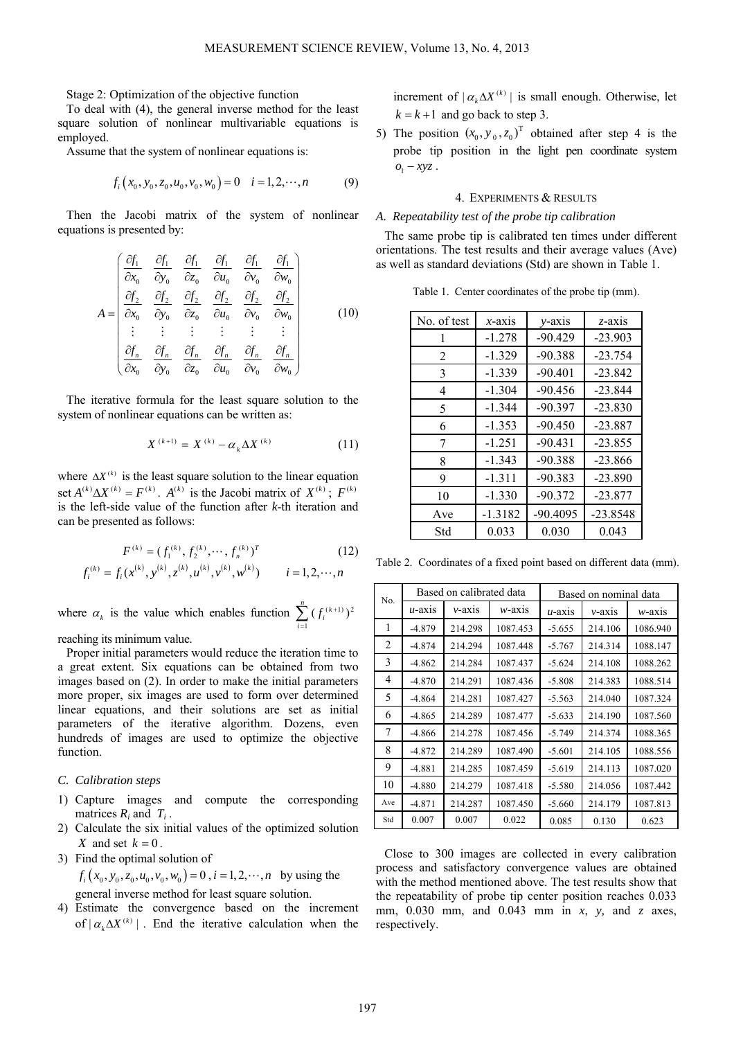Stage 2: Optimization of the objective function

To deal with (4), the general inverse method for the least square solution of nonlinear multivariable equations is employed.

Assume that the system of nonlinear equations is:

$$
f_i(x_0, y_0, z_0, u_0, v_0, w_0) = 0 \quad i = 1, 2, \cdots, n \tag{9}
$$

Then the Jacobi matrix of the system of nonlinear equations is presented by:

$$
A = \begin{pmatrix} \frac{\partial f_1}{\partial x_0} & \frac{\partial f_1}{\partial y_0} & \frac{\partial f_1}{\partial z_0} & \frac{\partial f_1}{\partial u_0} & \frac{\partial f_1}{\partial v_0} & \frac{\partial f_1}{\partial w_0} \\ \frac{\partial f_2}{\partial x_0} & \frac{\partial f_2}{\partial y_0} & \frac{\partial f_2}{\partial z_0} & \frac{\partial f_2}{\partial u_0} & \frac{\partial f_2}{\partial v_0} & \frac{\partial f_2}{\partial w_0} \\ \vdots & \vdots & \vdots & \vdots & \vdots & \vdots \\ \frac{\partial f_n}{\partial x_0} & \frac{\partial f_n}{\partial y_0} & \frac{\partial f_n}{\partial z_0} & \frac{\partial f_n}{\partial u_0} & \frac{\partial f_n}{\partial v_0} & \frac{\partial f_n}{\partial w_0} \end{pmatrix}
$$
(10)

The iterative formula for the least square solution to the system of nonlinear equations can be written as:

$$
X^{(k+1)} = X^{(k)} - \alpha_k \Delta X^{(k)} \tag{11}
$$

where  $\Delta X^{(k)}$  is the least square solution to the linear equation set  $A^{(k)} \Delta X^{(k)} = F^{(k)}$ .  $A^{(k)}$  is the Jacobi matrix of  $X^{(k)}$ ;  $F^{(k)}$ is the left-side value of the function after *k*-th iteration and can be presented as follows:

$$
F^{(k)} = (f_1^{(k)}, f_2^{(k)}, \cdots, f_n^{(k)})^T
$$
  
\n
$$
f_i^{(k)} = f_i(x^{(k)}, y^{(k)}, z^{(k)}, u^{(k)}, v^{(k)}, w^{(k)}) \qquad i = 1, 2, \cdots, n
$$
\n(12)

where  $\alpha_k$  is the value which enables function  $\sum_{i=1}^{\infty} (f_i^{(k+1)})^2$  $\sum_{i=1}^{n} (f_i^{(k+1)})$  $f_i^{(k+1)}$  $\sum_{i=1}$ 

reaching its minimum value.

Proper initial parameters would reduce the iteration time to a great extent. Six equations can be obtained from two images based on (2). In order to make the initial parameters more proper, six images are used to form over determined linear equations, and their solutions are set as initial parameters of the iterative algorithm. Dozens, even hundreds of images are used to optimize the objective function.

# *C. Calibration steps*

- 1) Capture images and compute the corresponding matrices *Ri* and *Ti* .
- 2) Calculate the six initial values of the optimized solution *X* and set  $k = 0$ .
- 3) Find the optimal solution of

$$
f_i(x_0, y_0, z_0, u_0, v_0, w_0) = 0
$$
,  $i = 1, 2, \dots, n$  by using the general inverse method for least square solution.

- 4) Estimate the convergence based on the increment
- of  $| \alpha_k \Delta X^{(k)} |$ . End the iterative calculation when the

increment of  $| \alpha_k \Delta X^{(k)} |$  is small enough. Otherwise, let  $k = k + 1$  and go back to step 3.

5) The position  $(x_0, y_0, z_0)^T$  obtained after step 4 is the probe tip position in the light pen coordinate system  $o_1 - xyz$ .

# 4. EXPERIMENTS & RESULTS

#### *A. Repeatability test of the probe tip calibration*

The same probe tip is calibrated ten times under different orientations. The test results and their average values (Ave) as well as standard deviations (Std) are shown in Table 1.

Table 1. Center coordinates of the probe tip (mm).

| No. of test    | $x$ -axis | $v$ -axis  | $z$ -axis  |
|----------------|-----------|------------|------------|
| 1              | $-1.278$  | $-90.429$  | $-23.903$  |
| $\overline{2}$ | $-1.329$  | $-90.388$  | $-23.754$  |
| 3              | $-1.339$  | $-90.401$  | $-23.842$  |
| 4              | $-1.304$  | $-90.456$  | $-23.844$  |
| 5              | $-1.344$  | $-90.397$  | $-23.830$  |
| 6              | $-1.353$  | $-90.450$  | $-23.887$  |
| 7              | $-1.251$  | $-90.431$  | $-23.855$  |
| 8              | $-1.343$  | $-90.388$  | $-23.866$  |
| 9              | $-1.311$  | $-90.383$  | $-23.890$  |
| 10             | $-1.330$  | $-90.372$  | $-23.877$  |
| Ave            | $-1.3182$ | $-90.4095$ | $-23.8548$ |
| Std            | 0.033     | 0.030      | 0.043      |

Table 2. Coordinates of a fixed point based on different data (mm).

| No. |           | Based on calibrated data |           | Based on nominal data |           |           |  |
|-----|-----------|--------------------------|-----------|-----------------------|-----------|-----------|--|
|     | $u$ -axis | $v$ -axis                | $w$ -axis | $u$ -axis             | $v$ -axis | $w$ -axis |  |
| 1   | $-4.879$  | 214.298                  | 1087.453  | $-5.655$              | 214.106   | 1086.940  |  |
| 2   | $-4.874$  | 214.294                  | 1087.448  | $-5.767$              | 214.314   | 1088.147  |  |
| 3   | $-4.862$  | 214.284                  | 1087.437  | $-5.624$              | 214.108   | 1088.262  |  |
| 4   | $-4.870$  | 214.291                  | 1087.436  | $-5.808$              | 214.383   | 1088.514  |  |
| 5   | $-4.864$  | 214.281                  | 1087.427  | $-5.563$              | 214.040   | 1087.324  |  |
| 6   | $-4.865$  | 214.289                  | 1087.477  | $-5.633$              | 214.190   | 1087.560  |  |
| 7   | $-4.866$  | 214.278                  | 1087.456  | $-5.749$              | 214.374   | 1088.365  |  |
| 8   | $-4.872$  | 214.289                  | 1087.490  | $-5.601$              | 214.105   | 1088.556  |  |
| 9   | $-4.881$  | 214.285                  | 1087.459  | $-5.619$              | 214.113   | 1087.020  |  |
| 10  | $-4.880$  | 214.279                  | 1087.418  | $-5.580$              | 214.056   | 1087.442  |  |
| Ave | $-4.871$  | 214.287                  | 1087.450  | $-5.660$              | 214.179   | 1087.813  |  |
| Std | 0.007     | 0.007                    | 0.022     | 0.085                 | 0.130     | 0.623     |  |

Close to 300 images are collected in every calibration process and satisfactory convergence values are obtained with the method mentioned above. The test results show that the repeatability of probe tip center position reaches 0.033 mm, 0.030 mm, and 0.043 mm in *x*, *y,* and *z* axes, respectively.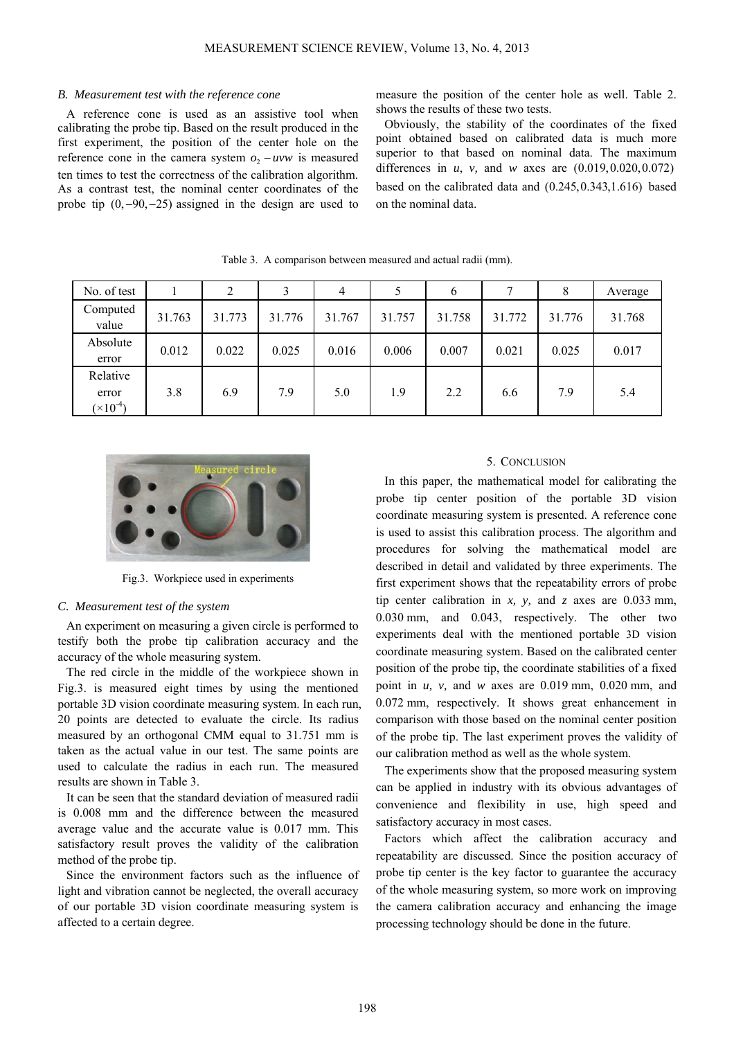#### *B. Measurement test with the reference cone*

A reference cone is used as an assistive tool when calibrating the probe tip. Based on the result produced in the first experiment, the position of the center hole on the reference cone in the camera system  $o_2 - uvw$  is measured ten times to test the correctness of the calibration algorithm. As a contrast test, the nominal center coordinates of the probe tip  $(0, -90, -25)$  assigned in the design are used to measure the position of the center hole as well. Table 2. shows the results of these two tests.

Obviously, the stability of the coordinates of the fixed point obtained based on calibrated data is much more superior to that based on nominal data. The maximum differences in *u*, *v,* and *w* axes are (0.019,0.020,0.072) based on the calibrated data and (0.245,0.343,1.616) based on the nominal data.

| No. of test                             |        |        |        | 4      |        | b      | ┑      | 8      | Average |
|-----------------------------------------|--------|--------|--------|--------|--------|--------|--------|--------|---------|
| Computed<br>value                       | 31.763 | 31.773 | 31.776 | 31.767 | 31.757 | 31.758 | 31.772 | 31.776 | 31.768  |
| Absolute<br>error                       | 0.012  | 0.022  | 0.025  | 0.016  | 0.006  | 0.007  | 0.021  | 0.025  | 0.017   |
| Relative<br>error<br>$(\times 10^{-4})$ | 3.8    | 6.9    | 7.9    | 5.0    | 1.9    | 2.2    | 6.6    | 7.9    | 5.4     |

Table 3. A comparison between measured and actual radii (mm).



Fig.3. Workpiece used in experiments

### *C. Measurement test of the system*

An experiment on measuring a given circle is performed to testify both the probe tip calibration accuracy and the accuracy of the whole measuring system.

The red circle in the middle of the workpiece shown in Fig.3. is measured eight times by using the mentioned portable 3D vision coordinate measuring system. In each run, 20 points are detected to evaluate the circle. Its radius measured by an orthogonal CMM equal to 31.751 mm is taken as the actual value in our test. The same points are used to calculate the radius in each run. The measured results are shown in Table 3.

It can be seen that the standard deviation of measured radii is 0.008 mm and the difference between the measured average value and the accurate value is 0.017 mm. This satisfactory result proves the validity of the calibration method of the probe tip.

Since the environment factors such as the influence of light and vibration cannot be neglected, the overall accuracy of our portable 3D vision coordinate measuring system is affected to a certain degree.

## 5. CONCLUSION

In this paper, the mathematical model for calibrating the probe tip center position of the portable 3D vision coordinate measuring system is presented. A reference cone is used to assist this calibration process. The algorithm and procedures for solving the mathematical model are described in detail and validated by three experiments. The first experiment shows that the repeatability errors of probe tip center calibration in *x, y,* and *z* axes are 0.033 mm, 0.030 mm, and 0.043, respectively. The other two experiments deal with the mentioned portable 3D vision coordinate measuring system. Based on the calibrated center position of the probe tip, the coordinate stabilities of a fixed point in *u, v,* and *w* axes are 0.019 mm, 0.020 mm, and 0.072 mm, respectively. It shows great enhancement in comparison with those based on the nominal center position of the probe tip. The last experiment proves the validity of our calibration method as well as the whole system.

The experiments show that the proposed measuring system can be applied in industry with its obvious advantages of convenience and flexibility in use, high speed and satisfactory accuracy in most cases.

Factors which affect the calibration accuracy and repeatability are discussed. Since the position accuracy of probe tip center is the key factor to guarantee the accuracy of the whole measuring system, so more work on improving the camera calibration accuracy and enhancing the image processing technology should be done in the future.